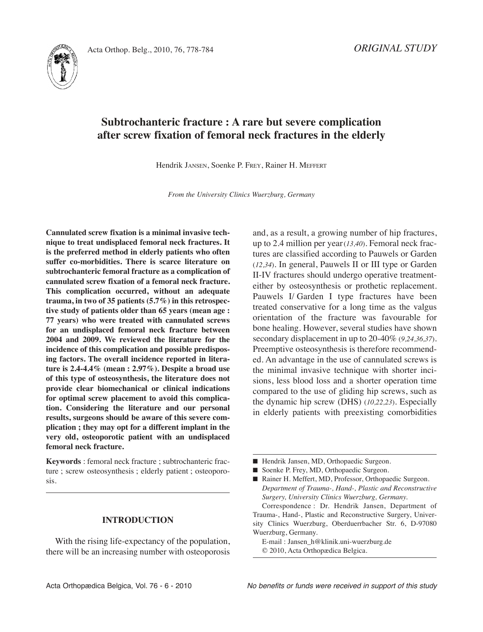



# **Subtrochanteric fracture : A rare but severe complication after screw fixation of femoral neck fractures in the elderly**

Hendrik JAnSEn, Soenke P. FREy, Rainer H. MEFFERT

*From the University Clinics Wuerzburg, Germany*

**Cannulated screw fixation is a minimal invasive technique to treat undisplaced femoral neck fractures. It is the preferred method in elderly patients who often suffer co-morbidities. There is scarce literature on subtrochanteric femoral fracture as a complication of cannulated screw fixation of a femoral neck fracture. This complication occurred, without an adequate trauma, in two of 35 patients (5.7%) in this retrospective study of patients older than 65 years (mean age : 77 years) who were treated with cannulated screws for an undisplaced femoral neck fracture between 2004 and 2009. We reviewed the literature for the incidence of this complication and possible predisposing factors. The overall incidence reported in literature is 2.4-4.4% (mean : 2.97%). Despite a broad use of this type of osteosynthesis, the literature does not provide clear biomechanical or clinical indications for optimal screw placement to avoid this complication. Considering the literature and our personal results, surgeons should be aware of this severe complication ; they may opt for a different implant in the very old, osteoporotic patient with an undisplaced femoral neck fracture.**

**Keywords** : femoral neck fracture ; subtrochanteric fracture ; screw osteosynthesis ; elderly patient ; osteoporosis.

#### **INTRODUCTION**

With the rising life-expectancy of the population, there will be an increasing number with osteoporosis

and, as a result, a growing number of hip fractures, up to 2.4 million per year(*13,40*). Femoral neck fractures are classified according to Pauwels or Garden (*12,34*). In general, Pauwels II or III type or Garden II-IV fractures should undergo operative treatmenteither by osteosynthesis or prothetic replacement. Pauwels I/ Garden I type fractures have been treated conservative for a long time as the valgus orientation of the fracture was favourable for bone healing. However, several studies have shown secondary displacement in up to 20-40% (*9,24,36,37*)*.* Preemptive osteosynthesis is therefore recommended. An advantage in the use of cannulated screws is the minimal invasive technique with shorter incisions, less blood loss and a shorter operation time compared to the use of gliding hip screws, such as the dynamic hip screw (DHS) (*10,22,23*). Especially in elderly patients with preexisting comorbidities

- Hendrik Jansen, MD, Orthopaedic Surgeon.
- Soenke P. Frey, MD, Orthopaedic Surgeon.
- Rainer H. Meffert, MD, Professor, Orthopaedic Surgeon. *Department of Trauma-, Hand-, Plastic and Reconstructive Surgery, University Clinics Wuerzburg, Germany.*

Correspondence : Dr. Hendrik Jansen, Department of Trauma-, Hand-, Plastic and Reconstructive Surgery, University Clinics Wuerzburg, Oberduerrbacher Str. 6, D-97080 Wuerzburg, Germany.

E-mail : Jansen\_h@klinik.uni-wuerzburg.de © 2010, Acta Orthopædica Belgica.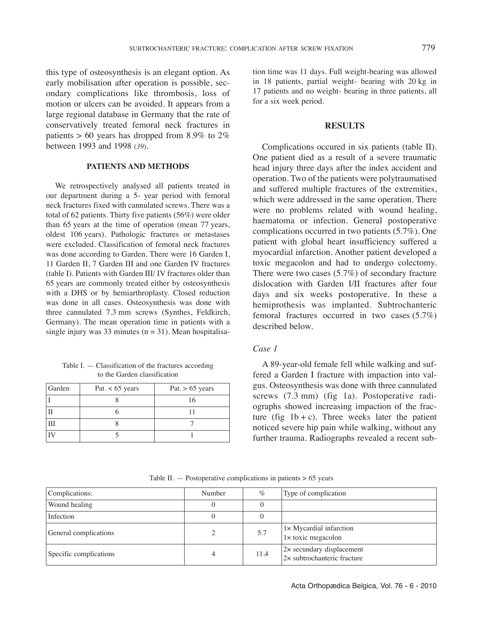this type of osteosynthesis is an elegant option. As early mobilisation after operation is possible, secondary complications like thrombosis, loss of motion or ulcers can be avoided. It appears from a large regional database in Germany that the rate of conservatively treated femoral neck fractures in patients  $> 60$  years has dropped from 8.9% to 2% between 1993 and 1998 (*39*)*.*

## **PATIENTS AND METHODS**

We retrospectively analysed all patients treated in our department during a 5- year period with femoral neck fractures fixed with cannulated screws. There was a total of 62 patients. Thirty five patients (56%) were older than 65 years at the time of operation (mean 77 years, oldest 106 years). Pathologic fractures or metastases were excluded. Classification of femoral neck fractures was done according to Garden. There were 16 Garden I, 11 Garden II, 7 Garden III and one Garden IV fractures (table I). Patients with Garden III/ IV fractures older than 65 years are commonly treated either by osteosynthesis with a DHS or by hemiarthroplasty. Closed reduction was done in all cases. Osteosynthesis was done with three cannulated 7.3 mm screws (Synthes, Feldkirch, Germany). The mean operation time in patients with a single injury was 33 minutes ( $n = 31$ ). Mean hospitalisa-

Table I. — Classification of the fractures according to the Garden classification

| Garden | Pat. $< 65$ years | Pat. $> 65$ years |
|--------|-------------------|-------------------|
|        |                   |                   |
|        |                   |                   |
| III    |                   |                   |
|        |                   |                   |

tion time was 11 days. Full weight-bearing was allowed in 18 patients, partial weight- bearing with 20 kg in 17 patients and no weight- bearing in three patients, all for a six week period.

## **RESULTS**

Complications occured in six patients (table II). One patient died as a result of a severe traumatic head injury three days after the index accident and operation. Two of the patients were polytraumatised and suffered multiple fractures of the extremities, which were addressed in the same operation. There were no problems related with wound healing, haematoma or infection. General postoperative complications occurred in two patients (5.7%). One patient with global heart insufficiency suffered a myocardial infarction. Another patient developed a toxic megacolon and had to undergo colectomy. There were two cases (5.7%) of secondary fracture dislocation with Garden I/II fractures after four days and six weeks postoperative. In these a hemiprothesis was implanted. Subtrochanteric femoral fractures occurred in two cases (5.7%) described below.

## *Case 1*

A 89-year-old female fell while walking and suffered a Garden I fracture with impaction into valgus. Osteosynthesis was done with three cannulated screws (7.3 mm) (fig 1a). Postoperative radiographs showed increasing impaction of the fracture (fig  $1b + c$ ). Three weeks later the patient noticed severe hip pain while walking, without any further trauma. Radiographs revealed a recent sub-

|  | Table II. $-$ Postoperative complications in patients $> 65$ vears |  |  |  |
|--|--------------------------------------------------------------------|--|--|--|
|--|--------------------------------------------------------------------|--|--|--|

| Complications:         | Number | $\%$ | Type of complication                                            |
|------------------------|--------|------|-----------------------------------------------------------------|
| Wound healing          |        |      |                                                                 |
| Infection              |        |      |                                                                 |
| General complications  |        | 5.7  | 1× Mycardial infarction<br>$1 \times$ toxic megacolon           |
| Specific complications |        | 11.4 | 2× secundary displacement<br>$2\times$ subtrochanteric fracture |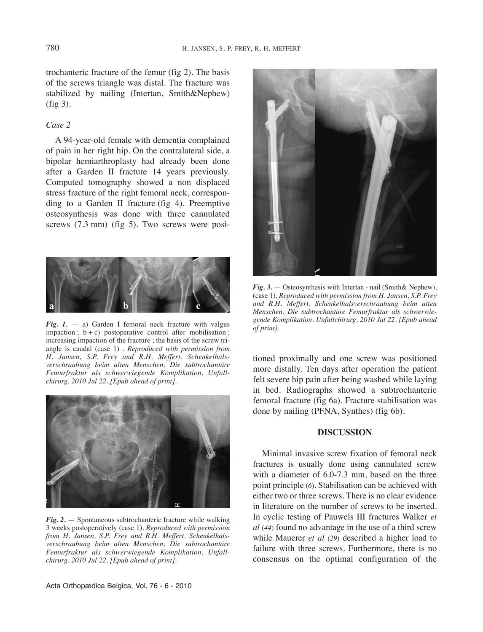trochanteric fracture of the femur (fig 2). The basis of the screws triangle was distal. The fracture was stabilized by nailing (Intertan, Smith&Nephew) (fig 3).

## *Case 2*

A 94-year-old female with dementia complained of pain in her right hip. On the contralateral side, a bipolar hemiarthroplasty had already been done after a Garden II fracture 14 years previously. Computed tomography showed a non displaced stress fracture of the right femoral neck, corresponding to a Garden II fracture (fig 4). Preemptive osteosynthesis was done with three cannulated screws (7.3 mm) (fig 5). Two screws were posi-



*Fig. 1.* — a) Garden I femoral neck fracture with valgus impaction ;  $b + c$ ) postoperative control after mobilisation ; increasing impaction of the fracture ; the basis of the screw triangle is caudal (case 1) . *Reproduced with permission from H. Jansen, S.P. Frey and R.H. Meffert. Schenkelhalsverschraubung beim alten Menschen. Die subtrochantäre Femurfraktur als schwerwiegende Komplikation. Unfallchirurg. 2010 Jul 22. [Epub ahead of print].*



*Fig. 2.* — Spontaneous subtrochanteric fracture while walking 3 weeks postoperatively (case 1). *Reproduced with permission from H. Jansen, S.P. Frey and R.H. Meffert. Schenkelhalsverschraubung beim alten Menschen. Die subtrochantäre Femurfraktur als schwerwiegende Komplikation. Unfallchirurg. 2010 Jul 22. [Epub ahead of print].*



 $Fig. 3. - Osteosynthesis with Intertan - nail (Smith & Nephew),$ (case 1). *Reproduced with permission from H. Jansen, S.P. Frey and R.H. Meffert. Schenkelhalsverschraubung beim alten Menschen. Die subtrochantäre Femurfraktur als schwerwiegende Komplikation. Unfallchirurg. 2010 Jul 22. [Epub ahead of print].*

tioned proximally and one screw was positioned more distally. Ten days after operation the patient felt severe hip pain after being washed while laying in bed. Radiographs showed a subtrochanteric femoral fracture (fig 6a). Fracture stabilisation was done by nailing (PFnA, Synthes) (fig 6b).

## **DISCUSSION**

Minimal invasive screw fixation of femoral neck fractures is usually done using cannulated screw with a diameter of 6.0-7.3 mm, based on the three point principle (*6*). Stabilisation can be achieved with either two or three screws. There is no clear evidence in literature on the number of screws to be inserted. In cyclic testing of Pauwels III fractures Walker *et al* (*44*) found no advantage in the use of a third screw while Mauerer *et al* (*29*) described a higher load to failure with three screws. Furthermore, there is no consensus on the optimal configuration of the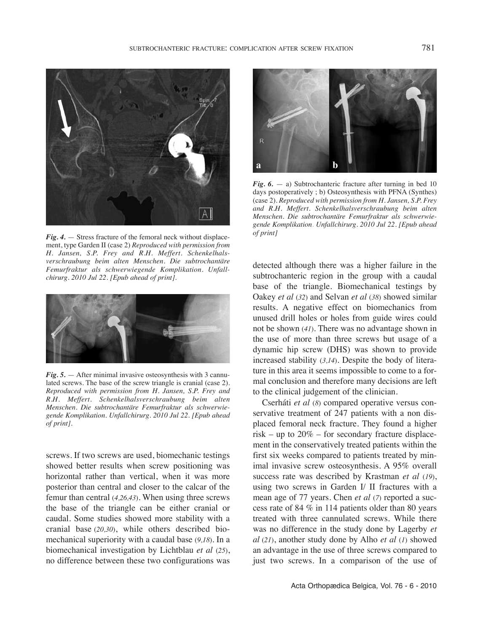

*Fig. 4.* — Stress fracture of the femoral neck without displacement, type Garden II (case 2) *Reproduced with permission from H. Jansen, S.P. Frey and R.H. Meffert. Schenkelhalsverschraubung beim alten Menschen. Die subtrochantäre Femurfraktur als schwerwiegende Komplikation. Unfallchirurg. 2010 Jul 22. [Epub ahead of print].*



*Fig. 5.* — After minimal invasive osteosynthesis with 3 cannulated screws. The base of the screw triangle is cranial (case 2). *Reproduced with permission from H. Jansen, S.P. Frey and R.H. Meffert. Schenkelhalsverschraubung beim alten Menschen. Die subtrochantäre Femurfraktur als schwerwiegende Komplikation. Unfallchirurg. 2010 Jul 22. [Epub ahead of print].*

screws. If two screws are used, biomechanic testings showed better results when screw positioning was horizontal rather than vertical, when it was more posterior than central and closer to the calcar of the femur than central (*4,26,43*). When using three screws the base of the triangle can be either cranial or caudal. Some studies showed more stability with a cranial base (*20,30*), while others described biomechanical superiority with a caudal base (*9,18*)*.* In a biomechanical investigation by lichtblau *et al* (*25*), no difference between these two configurations was



*Fig. 6.* — a) Subtrochanteric fracture after turning in bed 10 days postoperatively ; b) Osteosynthesis with PFNA (Synthes) (case 2). *Reproduced with permission from H. Jansen, S.P. Frey and R.H. Meffert. Schenkelhalsverschraubung beim alten Menschen. Die subtrochantäre Femurfraktur als schwerwiegende Komplikation. Unfallchirurg. 2010 Jul 22. [Epub ahead of print]*

detected although there was a higher failure in the subtrochanteric region in the group with a caudal base of the triangle. Biomechanical testings by Oakey *et al* (*32*) and Selvan *et al* (*38*) showed similar results. A negative effect on biomechanics from unused drill holes or holes from guide wires could not be shown (*41*)*.* There was no advantage shown in the use of more than three screws but usage of a dynamic hip screw (DHS) was shown to provide increased stability (*3,14*)*.* Despite the body of literature in this area it seems impossible to come to a formal conclusion and therefore many decisions are left to the clinical judgement of the clinician.

Cserháti *et al* (*8*) compared operative versus conservative treatment of 247 patients with a non displaced femoral neck fracture. They found a higher risk – up to  $20\%$  – for secondary fracture displacement in the conservatively treated patients within the first six weeks compared to patients treated by minimal invasive screw osteosynthesis. A 95% overall success rate was described by Krastman *et al* (*19*), using two screws in Garden I/ II fractures with a mean age of 77 years. Chen *et al* (*7*) reported a success rate of 84 % in 114 patients older than 80 years treated with three cannulated screws. While there was no difference in the study done by lagerby *et al* (*21*), another study done by Alho *et al* (*1*) showed an advantage in the use of three screws compared to just two screws. In a comparison of the use of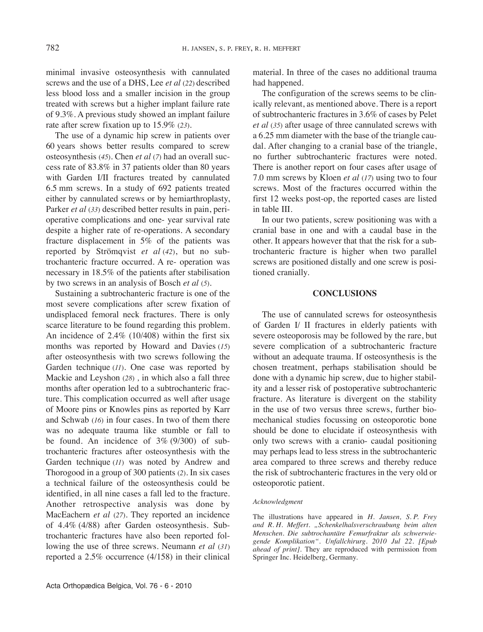minimal invasive osteosynthesis with cannulated screws and the use of a DHS, lee *et al* (*22*) described less blood loss and a smaller incision in the group treated with screws but a higher implant failure rate of 9.3%. A previous study showed an implant failure rate after screw fixation up to 15.9% (*23*).

The use of a dynamic hip screw in patients over 60 years shows better results compared to screw osteosynthesis (*45*). Chen *et al* (*7*) had an overall success rate of 83.8% in 37 patients older than 80 years with Garden I/II fractures treated by cannulated 6.5 mm screws. In a study of 692 patients treated either by cannulated screws or by hemiarthroplasty, Parker *et al* (*33*) described better results in pain, perioperative complications and one- year survival rate despite a higher rate of re-operations. A secondary fracture displacement in 5% of the patients was reported by Strömqvist *et al* (*42*), but no subtrochanteric fracture occurred. A re- operation was necessary in 18.5% of the patients after stabilisation by two screws in an analysis of Bosch *et al* (*5*).

Sustaining a subtrochanteric fracture is one of the most severe complications after screw fixation of undisplaced femoral neck fractures. There is only scarce literature to be found regarding this problem. An incidence of 2.4% (10/408) within the first six months was reported by Howard and Davies (*15*) after osteosynthesis with two screws following the Garden technique (*11*). One case was reported by Mackie and leyshon (*28*) *,* in which also a fall three months after operation led to a subtrochanteric fracture. This complication occurred as well after usage of Moore pins or Knowles pins as reported by Karr and Schwab (*16*) in four cases. In two of them there was no adequate trauma like stumble or fall to be found. An incidence of 3% (9/300) of subtrochanteric fractures after osteosynthesis with the Garden technique (*11*) was noted by Andrew and Thorogood in a group of 300 patients (*2*). In six cases a technical failure of the osteosynthesis could be identified, in all nine cases a fall led to the fracture. Another retrospective analysis was done by MacEachern *et al* (*27*). They reported an incidence of 4.4% (4/88) after Garden osteosynthesis. Subtrochanteric fractures have also been reported following the use of three screws. Neumann *et al* (31) reported a 2.5% occurrence (4/158) in their clinical material. In three of the cases no additional trauma had happened.

The configuration of the screws seems to be clinically relevant, as mentioned above. There is a report of subtrochanteric fractures in 3.6% of cases by Pelet *et al* (*35*) after usage of three cannulated screws with a 6.25 mm diameter with the base of the triangle caudal. After changing to a cranial base of the triangle, no further subtrochanteric fractures were noted. There is another report on four cases after usage of 7.0 mm screws by Kloen *et al* (*17*) using two to four screws. Most of the fractures occurred within the first 12 weeks post-op, the reported cases are listed in table III.

In our two patients, screw positioning was with a cranial base in one and with a caudal base in the other. It appears however that that the risk for a subtrochanteric fracture is higher when two parallel screws are positioned distally and one screw is positioned cranially.

#### **CONCLUSIONS**

The use of cannulated screws for osteosynthesis of Garden I/ II fractures in elderly patients with severe osteoporosis may be followed by the rare, but severe complication of a subtrochanteric fracture without an adequate trauma. If osteosynthesis is the chosen treatment, perhaps stabilisation should be done with a dynamic hip screw, due to higher stability and a lesser risk of postoperative subtrochanteric fracture. As literature is divergent on the stability in the use of two versus three screws, further biomechanical studies focussing on osteoporotic bone should be done to elucidate if osteosynthesis with only two screws with a cranio- caudal positioning may perhaps lead to less stress in the subtrochanteric area compared to three screws and thereby reduce the risk of subtrochanteric fractures in the very old or osteoporotic patient.

#### *Acknowledgment*

The illustrations have appeared in *H. Jansen, S. P. Frey and R. H. Meffert. "Schenkelhalsverschraubung beim alten Menschen. Die subtrochantäre Femurfraktur als schwerwiegende Komplikation". Unfallchirurg. 2010 Jul 22. [Epub ahead of print].* They are reproduced with permission from Springer Inc. Heidelberg, Germany.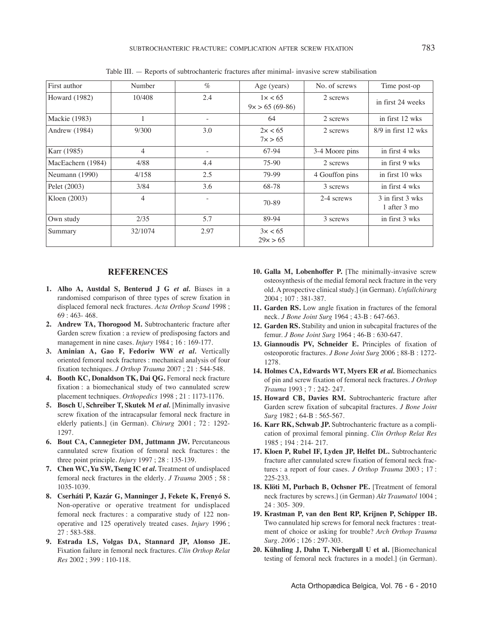| First author         | Number         | $\%$                     | Age (years)                 | No. of screws  | Time post-op                     |
|----------------------|----------------|--------------------------|-----------------------------|----------------|----------------------------------|
| <b>Howard</b> (1982) | 10/408         | 2.4                      | 1x < 65<br>$9x > 65(69-86)$ | 2 screws       | in first 24 weeks                |
| Mackie (1983)        |                | $\overline{\phantom{a}}$ | 64                          | 2 screws       | in first 12 wks                  |
| Andrew (1984)        | 9/300          | 3.0                      | 2x < 65<br>7x > 65          | 2 screws       | $8/9$ in first 12 wks            |
| Karr (1985)          | 4              |                          | 67-94                       | 3-4 Moore pins | in first 4 wks                   |
| MacEachern (1984)    | 4/88           | 4.4                      | 75-90                       | 2 screws       | in first 9 wks                   |
| Neumann (1990)       | 4/158          | 2.5                      | 79-99                       | 4 Gouffon pins | in first 10 wks                  |
| Pelet (2003)         | 3/84           | 3.6                      | 68-78                       | 3 screws       | in first 4 wks                   |
| Kloen (2003)         | $\overline{4}$ |                          | 70-89                       | 2-4 screws     | 3 in first 3 wks<br>1 after 3 mo |
| Own study            | 2/35           | 5.7                      | 89-94                       | 3 screws       | in first 3 wks                   |
| Summary              | 32/1074        | 2.97                     | 3x < 65<br>29x > 65         |                |                                  |

Table III. — Reports of subtrochanteric fractures after minimal- invasive screw stabilisation

#### **REFERENCES**

- **1. Alho A, Austdal S, Benterud J G** *et al.* Biases in a randomised comparison of three types of screw fixation in displaced femoral neck fractures. *Acta Orthop Scand* 1998 ; 69 : 463- 468.
- **2. Andrew TA, Thorogood M.** Subtrochanteric fracture after Garden screw fixation : a review of predisposing factors and management in nine cases. *Injury* 1984 ; 16 : 169-177.
- **3. Aminian A, Gao F, Fedoriw WW** *et al.* Vertically oriented femoral neck fractures : mechanical analysis of four fixation techniques. *J Orthop Trauma* 2007 ; 21 : 544-548.
- **4. Booth KC, Donaldson TK, Dai QG.** Femoral neck fracture fixation : a biomechanical study of two cannulated screw placement techniques. *Orthopedics* 1998 ; 21 : 1173-1176.
- **5. Bosch U, Schreiber T, Skutek M** *et al.* [Minimally invasive screw fixation of the intracapsular femoral neck fracture in elderly patients.] (in German). *Chirurg* 2001 ; 72 : 1292- 1297.
- **6. Bout CA, Cannegieter DM, Juttmann JW.** Percutaneous cannulated screw fixation of femoral neck fractures : the three point principle. *Injury* 1997 ; 28 : 135-139.
- **7. Chen WC, Yu SW, Tseng IC e***t al.* Treatment of undisplaced femoral neck fractures in the elderly*. J Trauma* 2005 ; 58 : 1035-1039.
- **8. Cserháti P, Kazár G, Manninger J, Fekete K, Frenyó S.** Non-operative or operative treatment for undisplaced femoral neck fractures : a comparative study of 122 nonoperative and 125 operatively treated cases. *Injury* 1996 ; 27 : 583-588.
- **9. Estrada LS, Volgas DA, Stannard JP, Alonso JE.** Fixation failure in femoral neck fractures. *Clin Orthop Relat Res* 2002 ; 399 : 110-118.
- **10. Galla M, Lobenhoffer P.** [The minimally-invasive screw osteosynthesis of the medial femoral neck fracture in the very old. A prospective clinical study.] (in German). *Unfallchirurg* 2004 ; 107 : 381-387.
- **11. Garden RS.** low angle fixation in fractures of the femoral neck. *J Bone Joint Surg* 1964 ; 43-B : 647-663.
- **12. Garden RS.** Stability and union in subcapital fractures of the femur. *J Bone Joint Surg* 1964 ; 46-B : 630-647.
- **13. Giannoudis PV, Schneider E.** Principles of fixation of osteoporotic fractures*. J Bone Joint Surg* 2006 ; 88-B : 1272- 1278.
- **14. Holmes CA, Edwards WT, Myers ER** *et al.* Biomechanics of pin and screw fixation of femoral neck fractures. *J Orthop Trauma* 1993 ; 7 : 242- 247.
- **15. Howard CB, Davies RM.** Subtrochanteric fracture after Garden screw fixation of subcapital fractures. *J Bone Joint Surg* 1982 ; 64-B : 565-567.
- **16. Karr RK, Schwab JP.** Subtrochanteric fracture as a complication of proximal femoral pinning. *Clin Orthop Relat Res* 1985 ; 194 : 214- 217.
- **17. Kloen P, Rubel IF, Lyden JP, Helfet DL.** Subtrochanteric fracture after cannulated screw fixation of femoral neck fractures : a report of four cases. *J Orthop Trauma* 2003 ; 17 : 225-233.
- **18. Klöti M, Purbach B, Ochsner PE.** [Treatment of femoral neck fractures by screws.] (in German) *Akt Traumatol* 1004 ; 24 : 305- 309.
- **19. Krastman P, van den Bent RP, Krijnen P, Schipper IB.** Two cannulated hip screws for femoral neck fractures : treatment of choice or asking for trouble? *Arch Orthop Trauma Surg. 2006* ; 126 : 297-303.
- **20. Kühnling J, Dahn T, Niebergall U et al.** [Biomechanical testing of femoral neck fractures in a model.] (in German).